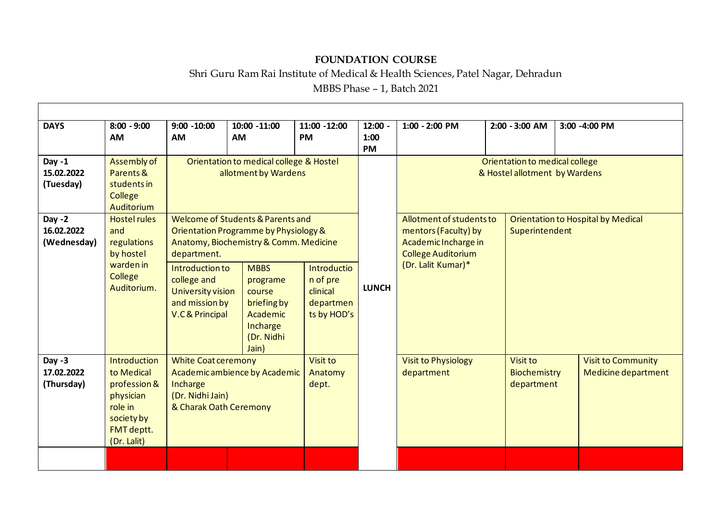## **FOUNDATION COURSE**

## Shri Guru Ram Rai Institute of Medical & Health Sciences, Patel Nagar, Dehradun

MBBS Phase – 1, Batch 2021

| <b>DAYS</b>                           | $8:00 - 9:00$<br><b>AM</b>                                                                                    | $9:00 - 10:00$<br><b>AM</b>                                                                                                         | 10:00 -11:00<br>AM                                                                              | 11:00 -12:00<br><b>PM</b>                                       | $12:00 -$<br>1:00<br><b>PM</b> | $1:00 - 2:00$ PM                                                                                      |  | 2:00 - 3:00 AM                                       | 3:00 -4:00 PM                                    |  |
|---------------------------------------|---------------------------------------------------------------------------------------------------------------|-------------------------------------------------------------------------------------------------------------------------------------|-------------------------------------------------------------------------------------------------|-----------------------------------------------------------------|--------------------------------|-------------------------------------------------------------------------------------------------------|--|------------------------------------------------------|--------------------------------------------------|--|
| Day $-1$<br>15.02.2022<br>(Tuesday)   | Assembly of<br>Parents &<br>students in<br>College<br>Auditorium                                              | Orientation to medical college & Hostel<br>allotment by Wardens                                                                     |                                                                                                 |                                                                 |                                | Orientation to medical college<br>& Hostel allotment by Wardens                                       |  |                                                      |                                                  |  |
| Day $-2$<br>16.02.2022<br>(Wednesday) | <b>Hostel rules</b><br>and<br>regulations<br>by hostel<br>warden in<br>College<br>Auditorium.                 | Welcome of Students & Parents and<br>Orientation Programme by Physiology &<br>Anatomy, Biochemistry & Comm. Medicine<br>department. |                                                                                                 |                                                                 |                                | Allotment of students to<br>mentors (Faculty) by<br>Academic Incharge in<br><b>College Auditorium</b> |  | Orientation to Hospital by Medical<br>Superintendent |                                                  |  |
|                                       |                                                                                                               | Introduction to<br>college and<br>University vision<br>and mission by<br><b>V.C &amp; Principal</b>                                 | <b>MBBS</b><br>programe<br>course<br>briefing by<br>Academic<br>Incharge<br>(Dr. Nidhi<br>Jain) | Introductio<br>n of pre<br>clinical<br>departmen<br>ts by HOD's | <b>LUNCH</b>                   | (Dr. Lalit Kumar)*                                                                                    |  |                                                      |                                                  |  |
| Day $-3$<br>17.02.2022<br>(Thursday)  | Introduction<br>to Medical<br>profession &<br>physician<br>role in<br>society by<br>FMT deptt.<br>(Dr. Lalit) | <b>White Coat ceremony</b><br>Academic ambience by Academic<br>Incharge<br>(Dr. Nidhi Jain)<br>& Charak Oath Ceremony               |                                                                                                 | Visit to<br>Anatomy<br>dept.                                    |                                | <b>Visit to Physiology</b><br>department                                                              |  | Visit to<br>Biochemistry<br>department               | <b>Visit to Community</b><br>Medicine department |  |